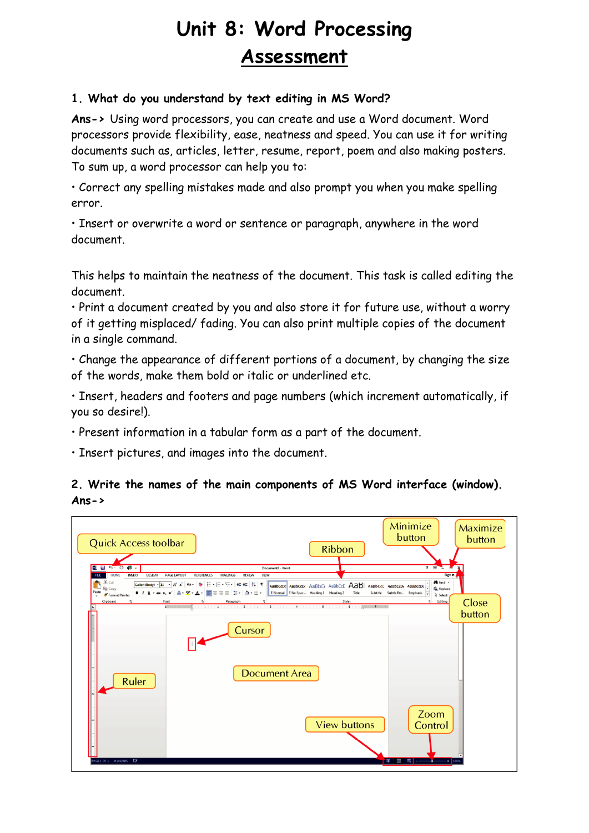# **Unit 8: Word Processing Assessment**

#### **1. What do you understand by text editing in MS Word?**

**Ans->** Using word processors, you can create and use a Word document. Word processors provide flexibility, ease, neatness and speed. You can use it for writing documents such as, articles, letter, resume, report, poem and also making posters. To sum up, a word processor can help you to:

• Correct any spelling mistakes made and also prompt you when you make spelling error.

• Insert or overwrite a word or sentence or paragraph, anywhere in the word document.

This helps to maintain the neatness of the document. This task is called editing the document.

• Print a document created by you and also store it for future use, without a worry of it getting misplaced/ fading. You can also print multiple copies of the document in a single command.

• Change the appearance of different portions of a document, by changing the size of the words, make them bold or italic or underlined etc.

• Insert, headers and footers and page numbers (which increment automatically, if you so desire!).

• Present information in a tabular form as a part of the document.

• Insert pictures, and images into the document.

## **2. Write the names of the main components of MS Word interface (window). Ans->**

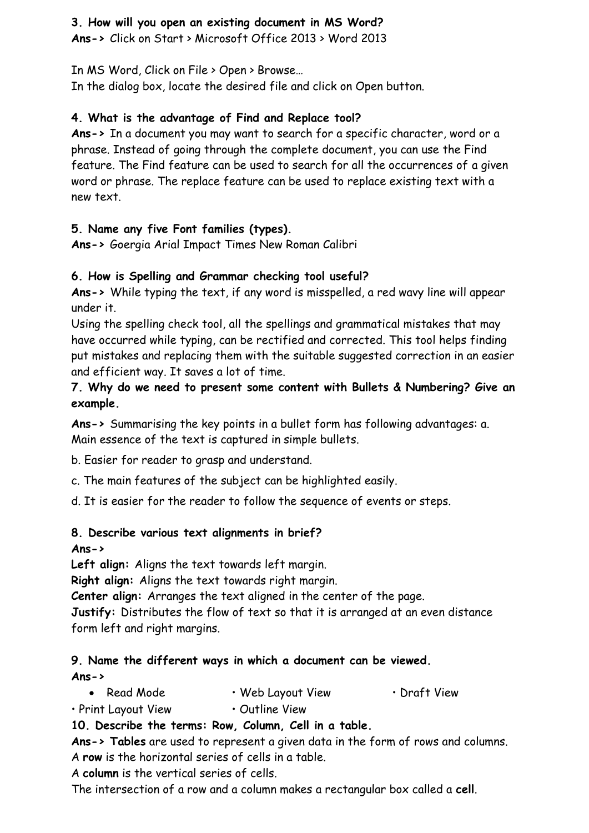#### **3. How will you open an existing document in MS Word?**

**Ans->** Click on Start > Microsoft Office 2013 > Word 2013

In MS Word, Click on File > Open > Browse…

In the dialog box, locate the desired file and click on Open button.

## **4. What is the advantage of Find and Replace tool?**

**Ans->** In a document you may want to search for a specific character, word or a phrase. Instead of going through the complete document, you can use the Find feature. The Find feature can be used to search for all the occurrences of a given word or phrase. The replace feature can be used to replace existing text with a new text.

## **5. Name any five Font families (types).**

**Ans->** Goergia Arial Impact Times New Roman Calibri

## **6. How is Spelling and Grammar checking tool useful?**

**Ans->** While typing the text, if any word is misspelled, a red wavy line will appear under it.

Using the spelling check tool, all the spellings and grammatical mistakes that may have occurred while typing, can be rectified and corrected. This tool helps finding put mistakes and replacing them with the suitable suggested correction in an easier and efficient way. It saves a lot of time.

## **7. Why do we need to present some content with Bullets & Numbering? Give an example.**

**Ans->** Summarising the key points in a bullet form has following advantages: a. Main essence of the text is captured in simple bullets.

b. Easier for reader to grasp and understand.

c. The main features of the subject can be highlighted easily.

d. It is easier for the reader to follow the sequence of events or steps.

## **8. Describe various text alignments in brief?**

## **Ans->**

**Left align:** Aligns the text towards left margin.

**Right align:** Aligns the text towards right margin.

**Center align:** Arranges the text aligned in the center of the page.

**Justify:** Distributes the flow of text so that it is arranged at an even distance form left and right margins.

#### **9. Name the different ways in which a document can be viewed. Ans->**

- Read Mode • Web Layout View • Draft View
- Print Layout View • Outline View

## **10. Describe the terms: Row, Column, Cell in a table.**

**Ans-> Tables** are used to represent a given data in the form of rows and columns. A **row** is the horizontal series of cells in a table.

A **column** is the vertical series of cells.

The intersection of a row and a column makes a rectangular box called a **cell**.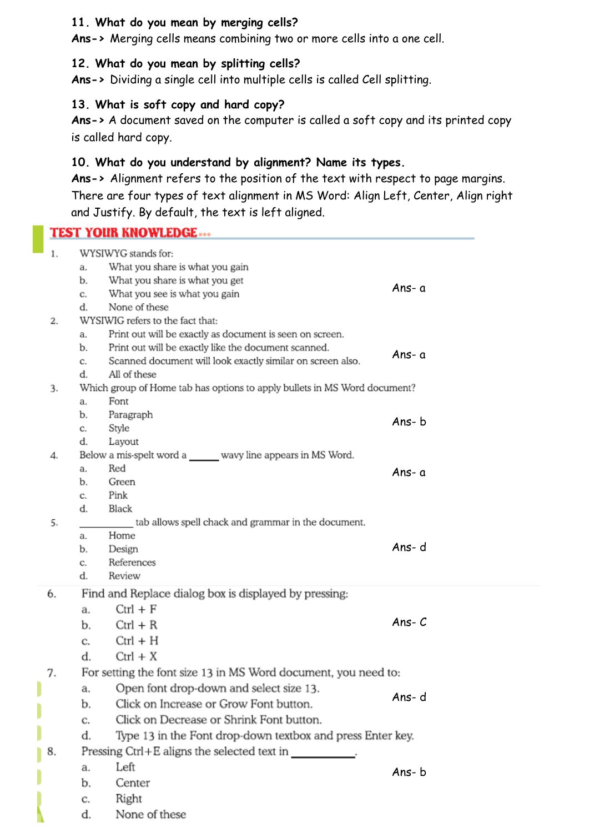#### **11. What do you mean by merging cells?**

**Ans->** Merging cells means combining two or more cells into a one cell.

#### **12. What do you mean by splitting cells?**

**Ans->** Dividing a single cell into multiple cells is called Cell splitting.

#### **13. What is soft copy and hard copy?**

**Ans->** A document saved on the computer is called a soft copy and its printed copy is called hard copy.

#### **10. What do you understand by alignment? Name its types.**

**Ans->** Alignment refers to the position of the text with respect to page margins. There are four types of text alignment in MS Word: Align Left, Center, Align right and Justify. By default, the text is left aligned.

|    | <b>TEST YOUR KNOWLEDGE </b>                                                       |          |  |  |
|----|-----------------------------------------------------------------------------------|----------|--|--|
| 1. | WYSIWYG stands for:                                                               |          |  |  |
|    | What you share is what you gain<br>a.                                             |          |  |  |
|    | What you share is what you get<br>b.                                              |          |  |  |
|    | What you see is what you gain<br>c.                                               | Ans-a    |  |  |
|    | None of these<br>d.                                                               |          |  |  |
| 2. | WYSIWIG refers to the fact that:                                                  |          |  |  |
|    | Print out will be exactly as document is seen on screen.<br>a.                    |          |  |  |
|    | Print out will be exactly like the document scanned.<br>b.                        | Ans- a   |  |  |
|    | Scanned document will look exactly similar on screen also.<br>c.                  |          |  |  |
|    | All of these<br>d.                                                                |          |  |  |
| 3. | Which group of Home tab has options to apply bullets in MS Word document?<br>Font |          |  |  |
|    | a.                                                                                |          |  |  |
|    | Paragraph<br>b.<br>Style                                                          | Ans-b    |  |  |
|    | C.<br>d.<br>Layout                                                                |          |  |  |
| 4. | Below a mis-spelt word a wavy line appears in MS Word.                            |          |  |  |
|    | Red<br>a.                                                                         | Ans- a   |  |  |
|    | Green<br>b.                                                                       |          |  |  |
|    | Pink<br>c.                                                                        |          |  |  |
|    | Black<br>d.                                                                       |          |  |  |
| 5. | tab allows spell chack and grammar in the document.                               |          |  |  |
|    | Home<br>a.                                                                        |          |  |  |
|    | b.<br>Design                                                                      | Ans-d    |  |  |
|    | References<br>c.<br>Review                                                        |          |  |  |
|    | d.                                                                                |          |  |  |
| 6. | Find and Replace dialog box is displayed by pressing:                             |          |  |  |
|    | $Ctrl + F$<br>a.                                                                  |          |  |  |
|    | $Ctrl + R$<br>b.                                                                  | Ans- $C$ |  |  |
|    | $Ctrl + H$<br>C.                                                                  |          |  |  |
|    | d.<br>$Ctrl + X$                                                                  |          |  |  |
|    | For setting the font size 13 in MS Word document, you need to:                    |          |  |  |
|    | Open font drop-down and select size 13.<br>a.                                     |          |  |  |
|    | Click on Increase or Grow Font button.<br>b.                                      | Ans-d    |  |  |
|    | Click on Decrease or Shrink Font button.<br>C.                                    |          |  |  |
|    | Type 13 in the Font drop-down textbox and press Enter key.<br>d.                  |          |  |  |
| 8. | Pressing Ctrl+E aligns the selected text in _____________.                        |          |  |  |
|    | Left<br>a.                                                                        |          |  |  |
|    | b.<br>Center                                                                      | Ans-b    |  |  |
|    | Right                                                                             |          |  |  |
|    | c.                                                                                |          |  |  |

d. None of these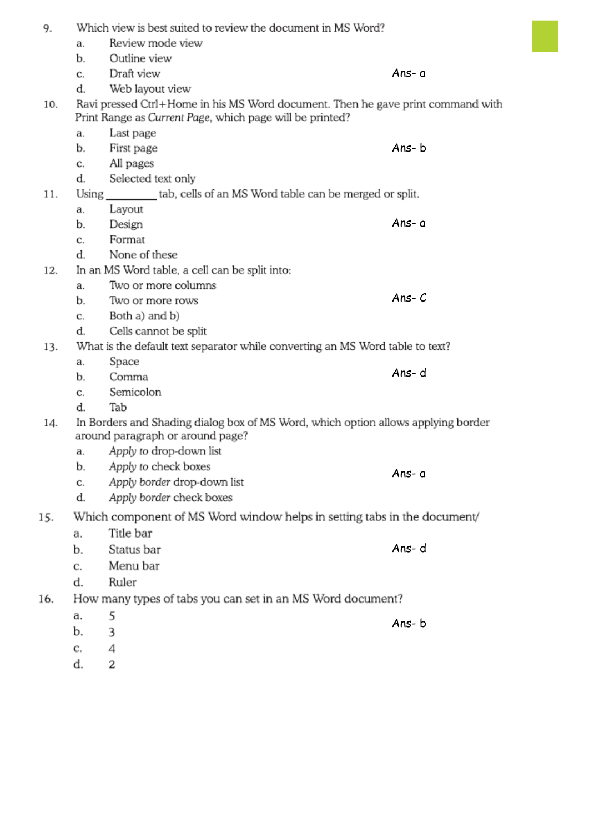| 9.  | Which view is best suited to review the document in MS Word?                                                                                |                             |          |  |  |
|-----|---------------------------------------------------------------------------------------------------------------------------------------------|-----------------------------|----------|--|--|
|     | a.                                                                                                                                          | Review mode view            |          |  |  |
|     | b.                                                                                                                                          | Outline view                |          |  |  |
|     | C.                                                                                                                                          | Draft view                  | Ans-a    |  |  |
|     | d.                                                                                                                                          | Web layout view             |          |  |  |
| 10. | Ravi pressed Ctrl+Home in his MS Word document. Then he gave print command with<br>Print Range as Current Page, which page will be printed? |                             |          |  |  |
|     | a.                                                                                                                                          | Last page                   |          |  |  |
|     | b.                                                                                                                                          | First page                  | Ans-b    |  |  |
|     | C.                                                                                                                                          | All pages                   |          |  |  |
|     | d.                                                                                                                                          | Selected text only          |          |  |  |
| 11. | Using _________tab, cells of an MS Word table can be merged or split.                                                                       |                             |          |  |  |
|     | a.                                                                                                                                          | Layout                      |          |  |  |
|     | b.                                                                                                                                          | Design                      | Ans-a    |  |  |
|     | c.                                                                                                                                          | Format                      |          |  |  |
|     | d.                                                                                                                                          | None of these               |          |  |  |
| 12. | In an MS Word table, a cell can be split into:                                                                                              |                             |          |  |  |
|     | a.                                                                                                                                          | Two or more columns         |          |  |  |
|     | b.                                                                                                                                          | Two or more rows            | Ans- $C$ |  |  |
|     | c.                                                                                                                                          | Both a) and b)              |          |  |  |
|     | d.                                                                                                                                          | Cells cannot be split       |          |  |  |
| 13. | What is the default text separator while converting an MS Word table to text?                                                               |                             |          |  |  |
|     | a.                                                                                                                                          | Space                       |          |  |  |
|     | b.                                                                                                                                          | Comma                       | Ans-d    |  |  |
|     | c.                                                                                                                                          | Semicolon                   |          |  |  |
|     | d.                                                                                                                                          | Tab                         |          |  |  |
| 14. | In Borders and Shading dialog box of MS Word, which option allows applying border<br>around paragraph or around page?                       |                             |          |  |  |
|     | а.                                                                                                                                          | Apply to drop-down list     |          |  |  |
|     | b.                                                                                                                                          | Apply to check boxes        | Ans-a    |  |  |
|     | c.                                                                                                                                          | Apply border drop-down list |          |  |  |
|     | d.                                                                                                                                          | Apply border check boxes    |          |  |  |
| 15. | Which component of MS Word window helps in setting tabs in the document/                                                                    |                             |          |  |  |
|     | a.                                                                                                                                          | Title bar                   |          |  |  |
|     | b.                                                                                                                                          | Status bar                  | Ans-d    |  |  |
|     | C.                                                                                                                                          | Menu bar                    |          |  |  |
|     | d.                                                                                                                                          | Ruler                       |          |  |  |
| 16. | How many types of tabs you can set in an MS Word document?                                                                                  |                             |          |  |  |
|     | a.                                                                                                                                          | 5                           |          |  |  |
|     | b.                                                                                                                                          | 3                           | Ans-b    |  |  |
|     | c.                                                                                                                                          | 4                           |          |  |  |
|     |                                                                                                                                             |                             |          |  |  |

d.